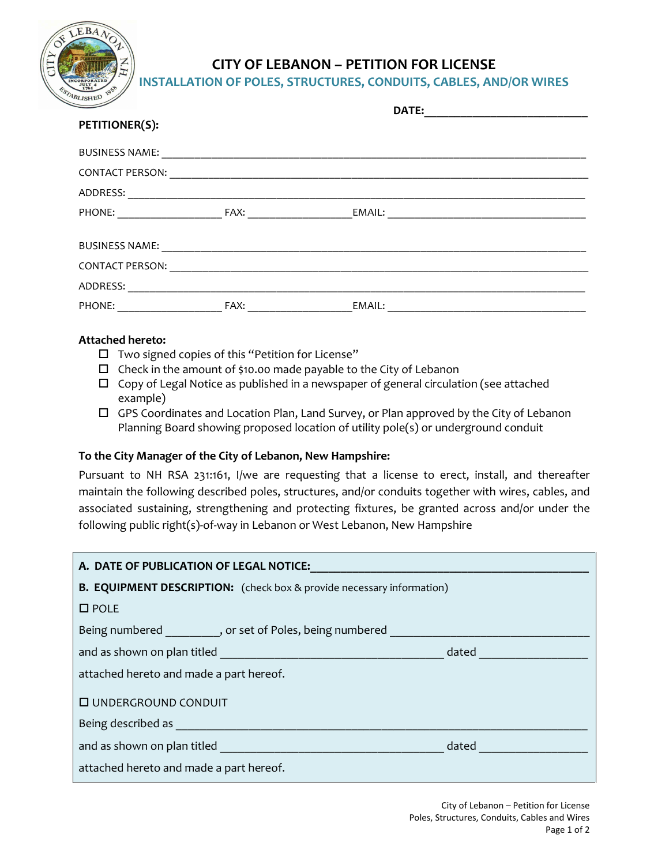

## **CITY OF LEBANON – PETITION FOR LICENSE**

**INSTALLATION OF POLES, STRUCTURES, CONDUITS, CABLES, AND/OR WIRES**

|                        | DATE: |        |  |
|------------------------|-------|--------|--|
| <b>PETITIONER(S):</b>  |       |        |  |
| <b>BUSINESS NAME:</b>  |       |        |  |
| <b>CONTACT PERSON:</b> |       |        |  |
| ADDRESS:               |       |        |  |
| PHONE:                 |       | EMAIL: |  |
|                        |       |        |  |
| <b>BUSINESS NAME:</b>  |       |        |  |
| <b>CONTACT PERSON:</b> |       |        |  |
| ADDRESS:               |       |        |  |
| PHONE:                 | FAX:  | EMAIL: |  |
|                        |       |        |  |

## **Attached hereto:**

- $\square$  Two signed copies of this "Petition for License"
- $\Box$  Check in the amount of \$10.00 made payable to the City of Lebanon
- $\Box$  Copy of Legal Notice as published in a newspaper of general circulation (see attached example)
- $\Box$  GPS Coordinates and Location Plan, Land Survey, or Plan approved by the City of Lebanon Planning Board showing proposed location of utility pole(s) or underground conduit

## **To the City Manager of the City of Lebanon, New Hampshire:**

Pursuant to NH RSA 231:161, I/we are requesting that a license to erect, install, and thereafter maintain the following described poles, structures, and/or conduits together with wires, cables, and associated sustaining, strengthening and protecting fixtures, be granted across and/or under the following public right(s)-of-way in Lebanon or West Lebanon, New Hampshire

| A. DATE OF PUBLICATION OF LEGAL NOTICE:                                          |       |  |  |  |
|----------------------------------------------------------------------------------|-------|--|--|--|
| <b>B. EQUIPMENT DESCRIPTION:</b> (check box & provide necessary information)     |       |  |  |  |
| $\square$ POLE                                                                   |       |  |  |  |
| Being numbered ___________, or set of Poles, being numbered ____________________ |       |  |  |  |
|                                                                                  |       |  |  |  |
| attached hereto and made a part hereof.                                          |       |  |  |  |
| <b>I UNDERGROUND CONDUIT</b>                                                     |       |  |  |  |
|                                                                                  |       |  |  |  |
| and as shown on plan titled and as shown on plan titled                          | dated |  |  |  |
| attached hereto and made a part hereof.                                          |       |  |  |  |